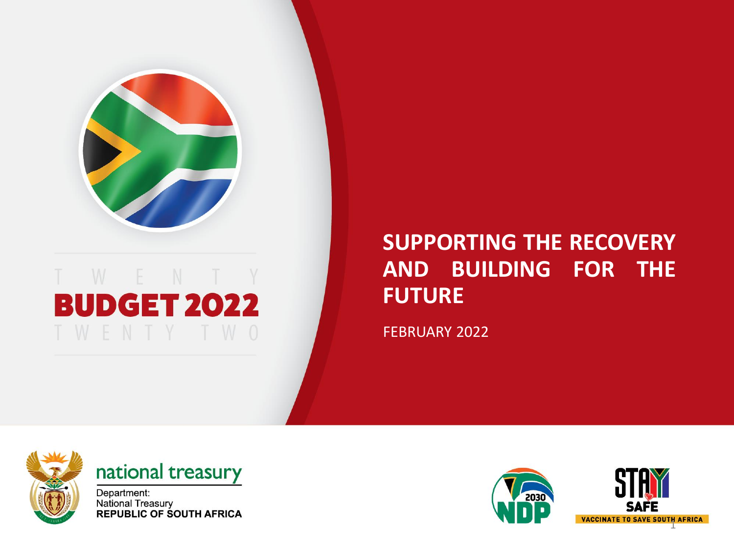

## WENTY **BUDGET 2022**

#### **SUPPORTING THE RECOVERY AND BUILDING FOR THE FUTURE**

FEBRUARY 2022



#### national treasury

Department: National Treasury<br>REPUBLIC OF SOUTH AFRICA

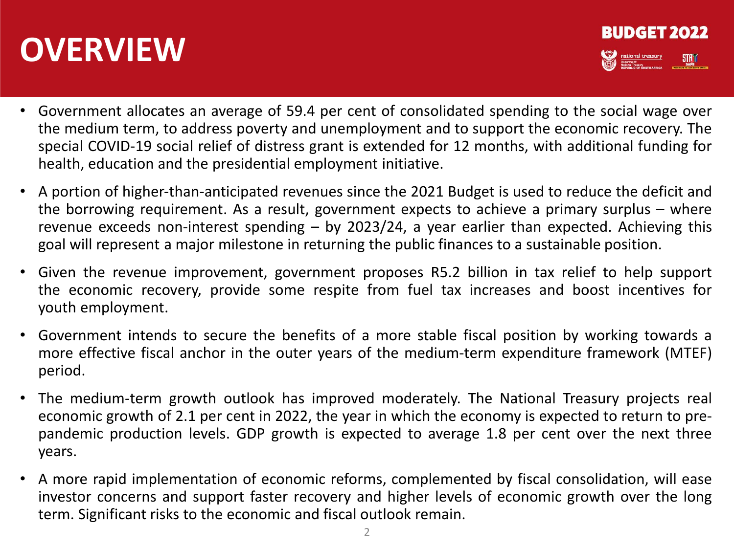## **OVERVIEW**



- Government allocates an average of 59.4 per cent of consolidated spending to the social wage over the medium term, to address poverty and unemployment and to support the economic recovery. The special COVID‐19 social relief of distress grant is extended for 12 months, with additional funding for health, education and the presidential employment initiative.
- A portion of higher‐than‐anticipated revenues since the 2021 Budget is used to reduce the deficit and the borrowing requirement. As a result, government expects to achieve a primary surplus – where revenue exceeds non‐interest spending – by 2023/24, a year earlier than expected. Achieving this goal will represent a major milestone in returning the public finances to a sustainable position.
- Given the revenue improvement, government proposes R5.2 billion in tax relief to help support the economic recovery, provide some respite from fuel tax increases and boost incentives for youth employment.
- Government intends to secure the benefits of a more stable fiscal position by working towards a more effective fiscal anchor in the outer years of the medium‐term expenditure framework (MTEF) period.
- The medium-term growth outlook has improved moderately. The National Treasury projects real economic growth of 2.1 per cent in 2022, the year in which the economy is expected to return to prepandemic production levels. GDP growth is expected to average 1.8 per cent over the next three years.
- A more rapid implementation of economic reforms, complemented by fiscal consolidation, will ease investor concerns and support faster recovery and higher levels of economic growth over the long term. Significant risks to the economic and fiscal outlook remain.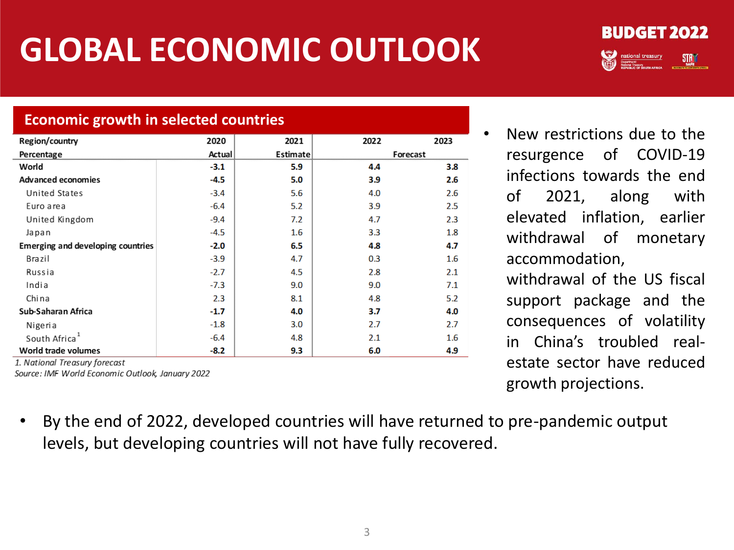# **GLOBAL ECONOMIC OUTLOOK**



#### **Economic growth in selected countries**

| 2020   | 2021             | 2022 | 2023             |
|--------|------------------|------|------------------|
| Actual | Estimate         |      | Forecast         |
| $-3.1$ | 5.9              | 4.4  | 3.8              |
| $-4.5$ | 5.0              | 3.9  | 2.6              |
| $-3.4$ | 5.6              | 4.0  | 2.6              |
| $-6.4$ | 5.2              | 3.9  | 2.5              |
| $-9.4$ | 7.2              | 4.7  | 2.3              |
| $-4.5$ | $1.6\phantom{0}$ | 3.3  | 1.8              |
| $-2.0$ | 6.5              | 4.8  | 4.7              |
| $-3.9$ | 4.7              | 0.3  | $1.6\phantom{0}$ |
| $-2.7$ | 4.5              | 2.8  | 2.1              |
| $-7.3$ | 9.0              | 9.0  | 7.1              |
| 2.3    | 8.1              | 4.8  | 5.2              |
| $-1.7$ | 4.0              | 3.7  | 4.0              |
| $-1.8$ | 3.0              | 2.7  | 2.7              |
| $-6.4$ | 4.8              | 2.1  | $1.6\phantom{0}$ |
| $-8.2$ | 9.3              | 6.0  | 4.9              |
|        |                  |      |                  |

ionai Treasury jorecasi Source: IMF World Economic Outlook, January 2022 • New restrictions due to the resurgence of COVID-19 infections towards the end of 2021, along with elevated inflation, earlier withdrawal of monetary accommodation,

withdrawal of the US fiscal support package and the consequences of volatility in China's troubled realestate sector have reduced growth projections.

• By the end of 2022, developed countries will have returned to pre-pandemic output levels, but developing countries will not have fully recovered.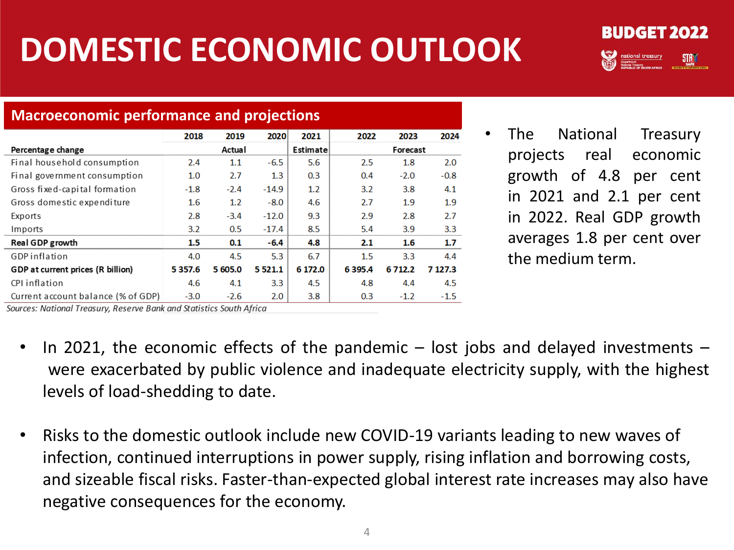# **DOMESTIC ECONOMIC OUTLOOK**



#### **Macroeconomic performance and projections**

|                                    | 2018        | 2019    | 2020             | 2021     | 2022     | 2023      | 2024    |
|------------------------------------|-------------|---------|------------------|----------|----------|-----------|---------|
| Percentage change                  |             | Actual  |                  | Estimate | Forecast |           |         |
| Final household consumption        | 2.4         | 1.1     | $-6.5$           | 5.6      | 2.5      | 1.8       | 2.0     |
| Final government consumption       | 1.0         | 2.7     | 1.3              | 0.3      | 0.4      | $-2.0$    | $-0.8$  |
| Gross fixed-capital formation      | $-1.8$      | $-2.4$  | $-14.9$          | 1.2      | 3.2      | 3.8       | 4.1     |
| Gross domestic expenditure         | $1.6\,$     | 1.2     | $-8.0$           | 4.6      | 2.7      | 1.9       | 1.9     |
| Exports                            | 2.8         | $-3.4$  | $-12.0$          | 9.3      | 2.9      | 2.8       | 2.7     |
| Imports                            | 3.2         | 0.5     | $-17.4$          | 8.5      | 5.4      | 3.9       | 3.3     |
| Real GDP growth                    | 1.5         | 0.1     | $-6.4$           | 4.8      | 2.1      | 1.6       | 1.7     |
| <b>GDP</b> inflation               | 4.0         | 4.5     | 5.3              | 6.7      | $1.5\,$  | 3.3       | 4.4     |
| GDP at current prices (R billion)  | 5 3 5 7 . 6 | 5 605.0 | 5 5 2 1 . 1      | 6 172.0  | 6395.4   | 6 7 1 2.2 | 7 127.3 |
| CPI inflation                      | 4.6         | 4.1     | 3.3 <sub>2</sub> | 4.5      | 4.8      | 4.4       | 4.5     |
| Current account balance (% of GDP) | $-3.0$      | $-2.6$  | 2.0              | 3.8      | 0.3      | $-1.2$    | $-1.5$  |

• The National Treasury projects real economic growth of 4.8 per cent in 2021 and 2.1 per cent in 2022. Real GDP growth averages 1.8 per cent over the medium term.

Sources: National Treasury, Reserve Bank and Statistics South Africa

- In 2021, the economic effects of the pandemic  $-$  lost jobs and delayed investments  $$ were exacerbated by public violence and inadequate electricity supply, with the highest levels of load-shedding to date.
- Risks to the domestic outlook include new COVID-19 variants leading to new waves of infection, continued interruptions in power supply, rising inflation and borrowing costs, and sizeable fiscal risks. Faster-than-expected global interest rate increases may also have negative consequences for the economy.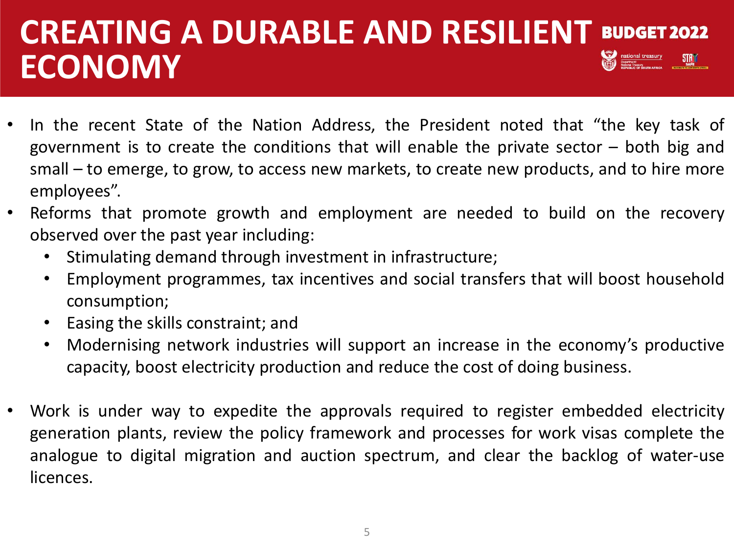## **CREATING A DURABLE AND RESILIENT BUDGET 2022**<br>ECONOMAV **ECONOMY**

- In the recent State of the Nation Address, the President noted that "the key task of government is to create the conditions that will enable the private sector – both big and small – to emerge, to grow, to access new markets, to create new products, and to hire more employees".
- Reforms that promote growth and employment are needed to build on the recovery observed over the past year including:
	- Stimulating demand through investment in infrastructure;
	- Employment programmes, tax incentives and social transfers that will boost household consumption;
	- Easing the skills constraint; and
	- Modernising network industries will support an increase in the economy's productive capacity, boost electricity production and reduce the cost of doing business.
- Work is under way to expedite the approvals required to register embedded electricity generation plants, review the policy framework and processes for work visas complete the analogue to digital migration and auction spectrum, and clear the backlog of water-use licences.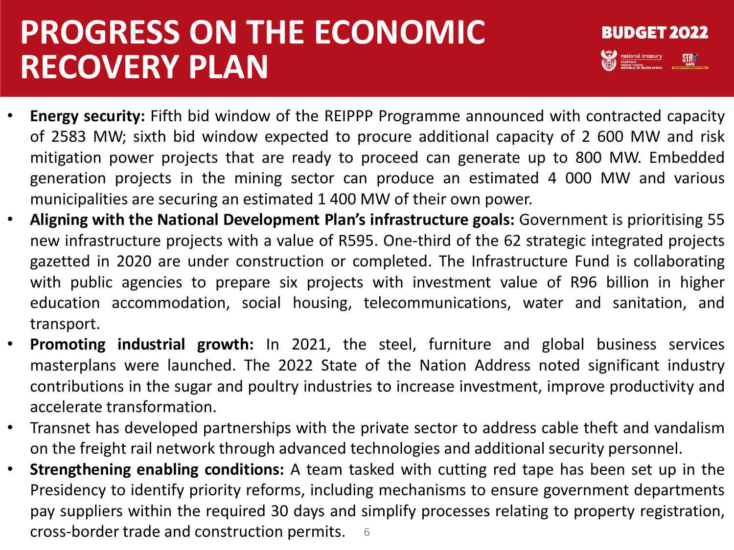## **PROGRESS ON THE ECONOMIC RECOVERY PLAN**



- **Energy security:** Fifth bid window of the REIPPP Programme announced with contracted capacity of 2583 MW; sixth bid window expected to procure additional capacity of 2 600 MW and risk mitigation power projects that are ready to proceed can generate up to 800 MW. Embedded generation projects in the mining sector can produce an estimated 4 000 MW and various municipalities are securing an estimated 1 400 MW of their own power.
- **Aligning with the National Development Plan's infrastructure goals:** Government is prioritising 55 new infrastructure projects with a value of R595. One-third of the 62 strategic integrated projects gazetted in 2020 are under construction or completed. The Infrastructure Fund is collaborating with public agencies to prepare six projects with investment value of R96 billion in higher education accommodation, social housing, telecommunications, water and sanitation, and transport.
- **Promoting industrial growth:** In 2021, the steel, furniture and global business services masterplans were launched. The 2022 State of the Nation Address noted significant industry contributions in the sugar and poultry industries to increase investment, improve productivity and accelerate transformation.
- Transnet has developed partnerships with the private sector to address cable theft and vandalism on the freight rail network through advanced technologies and additional security personnel.
- 6 cross-border trade and construction permits.• **Strengthening enabling conditions:** A team tasked with cutting red tape has been set up in the Presidency to identify priority reforms, including mechanisms to ensure government departments pay suppliers within the required 30 days and simplify processes relating to property registration,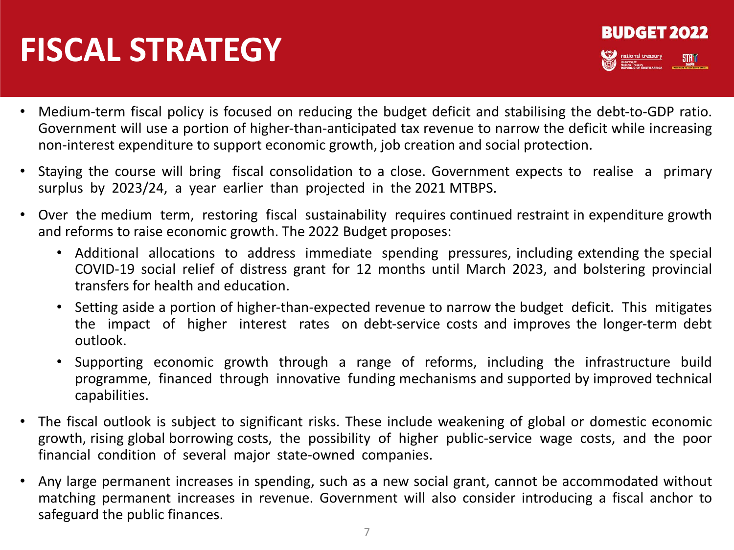# **FISCAL STRATEGY**



- Medium‐term fiscal policy is focused on reducing the budget deficit and stabilising the debt‐to‐GDP ratio. Government will use a portion of higher‐than‐anticipated tax revenue to narrow the deficit while increasing non‐interest expenditure to support economic growth, job creation and social protection.
- Staying the course will bring fiscal consolidation to a close. Government expects to realise a primary surplus by 2023/24, a year earlier than projected in the 2021 MTBPS.
- Over the medium term, restoring fiscal sustainability requires continued restraint in expenditure growth and reforms to raise economic growth. The 2022 Budget proposes:
	- Additional allocations to address immediate spending pressures, including extending the special COVID‐19 social relief of distress grant for 12 months until March 2023, and bolstering provincial transfers for health and education.
	- Setting aside a portion of higher-than-expected revenue to narrow the budget deficit. This mitigates the impact of higher interest rates on debt‐service costs and improves the longer‐term debt outlook.
	- Supporting economic growth through a range of reforms, including the infrastructure build programme, financed through innovative funding mechanisms and supported by improved technical capabilities.
- The fiscal outlook is subject to significant risks. These include weakening of global or domestic economic growth, rising global borrowing costs, the possibility of higher public‐service wage costs, and the poor financial condition of several major state‐owned companies.
- Any large permanent increases in spending, such as a new social grant, cannot be accommodated without matching permanent increases in revenue. Government will also consider introducing a fiscal anchor to safeguard the public finances.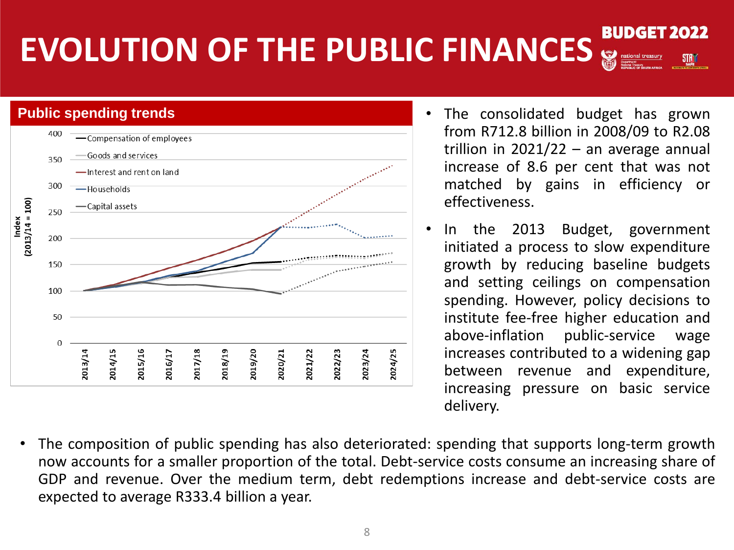#### **BUDGET EVOLUTION OF THE PUBLIC FINANCES** 8



- from R712.8 billion in 2008/09 to R2.08 trillion in  $2021/22 -$  an average annual increase of 8.6 per cent that was not matched by gains in efficiency or effectiveness.
- In the 2013 Budget, government initiated a process to slow expenditure growth by reducing baseline budgets and setting ceilings on compensation spending. However, policy decisions to institute fee-free higher education and above-inflation public-service wage increases contributed to a widening gap between revenue and expenditure, increasing pressure on basic service delivery.
- The composition of public spending has also deteriorated: spending that supports long-term growth now accounts for a smaller proportion of the total. Debt-service costs consume an increasing share of GDP and revenue. Over the medium term, debt redemptions increase and debt-service costs are expected to average R333.4 billion a year.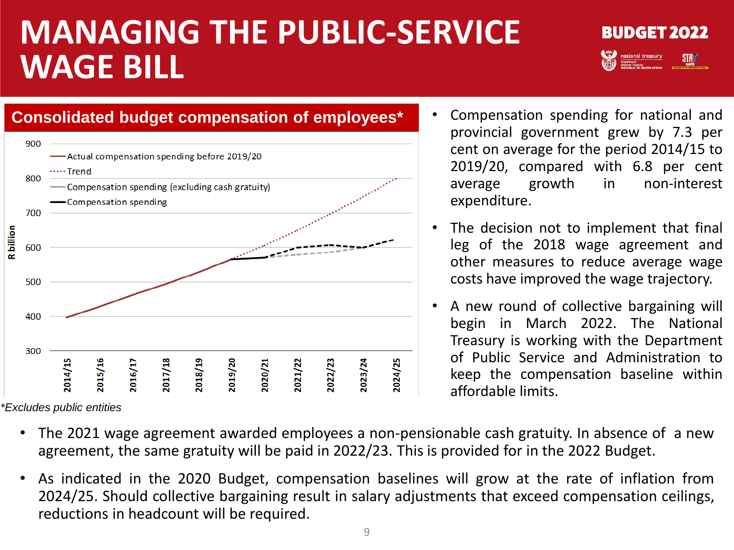## **MANAGING THE PUBLIC‐SERVICE WAGE BILL**





*<sup>\*</sup>Excludes public entities*

- Compensation spending for national and provincial government grew by 7.3 per cent on average for the period 2014/15 to 2019/20, compared with 6.8 per cent average growth in non-interest expenditure.
- The decision not to implement that final leg of the 2018 wage agreement and other measures to reduce average wage costs have improved the wage trajectory.
- A new round of collective bargaining will begin in March 2022. The National Treasury is working with the Department of Public Service and Administration to keep the compensation baseline within affordable limits.
- The 2021 wage agreement awarded employees a non-pensionable cash gratuity. In absence of a new agreement, the same gratuity will be paid in 2022/23. This is provided for in the 2022 Budget.
- As indicated in the 2020 Budget, compensation baselines will grow at the rate of inflation from 2024/25. Should collective bargaining result in salary adjustments that exceed compensation ceilings, reductions in headcount will be required.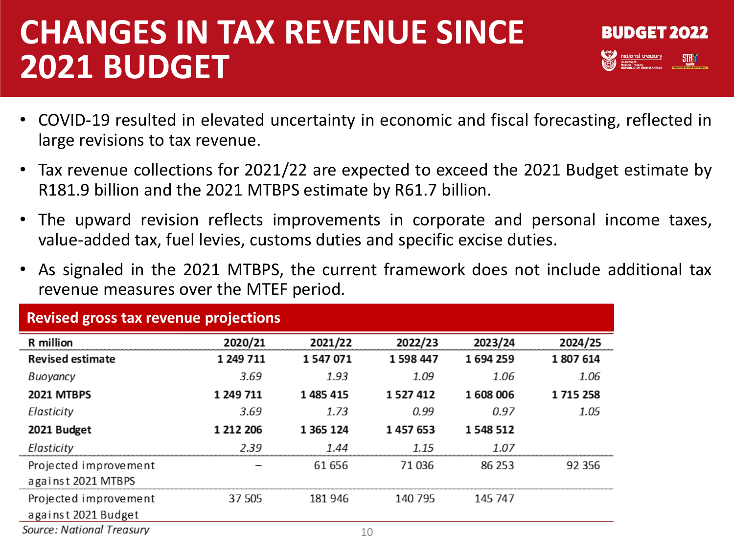## **CHANGES IN TAX REVENUE SINCE 2021 BUDGET**

- **BUDGET 2022 Analysis Contract Service Contract Contract Contract Contract Contract Contract Contract Contract Contract Contract Contract Contract Contract Contract Contract Contract Contract Contract Contract Contract Contract Contra**
- COVID-19 resulted in elevated uncertainty in economic and fiscal forecasting, reflected in large revisions to tax revenue.
- Tax revenue collections for 2021/22 are expected to exceed the 2021 Budget estimate by R181.9 billion and the 2021 MTBPS estimate by R61.7 billion.
- The upward revision reflects improvements in corporate and personal income taxes, value-added tax, fuel levies, customs duties and specific excise duties.
- As signaled in the 2021 MTBPS, the current framework does not include additional tax revenue measures over the MTEF period.

| <b>Revised gross tax revenue projections</b> |           |           |           |         |         |  |
|----------------------------------------------|-----------|-----------|-----------|---------|---------|--|
| R million                                    | 2020/21   | 2021/22   | 2022/23   | 2023/24 | 2024/25 |  |
| <b>Revised estimate</b>                      | 1 249 711 | 1547071   | 1 598 447 | 1694259 | 1807614 |  |
| Buoyancy                                     | 3.69      | 1.93      | 1.09      | 1.06    | 1.06    |  |
| <b>2021 MTBPS</b>                            | 1 249 711 | 1 485 415 | 1527412   | 1608006 | 1715258 |  |
| Elasticity                                   | 3.69      | 1.73      | 0.99      | 0.97    | 1.05    |  |
| 2021 Budget                                  | 1 212 206 | 1 365 124 | 1457653   | 1548512 |         |  |
| Elasticity                                   | 2.39      | 1.44      | 1.15      | 1.07    |         |  |
| Projected improvement                        |           | 61 656    | 71 036    | 86 253  | 92 356  |  |
| against 2021 MTBPS                           |           |           |           |         |         |  |
| Projected improvement                        | 37 505    | 181 946   | 140 795   | 145 747 |         |  |
| against 2021 Budget                          |           |           |           |         |         |  |

Source: National Treasury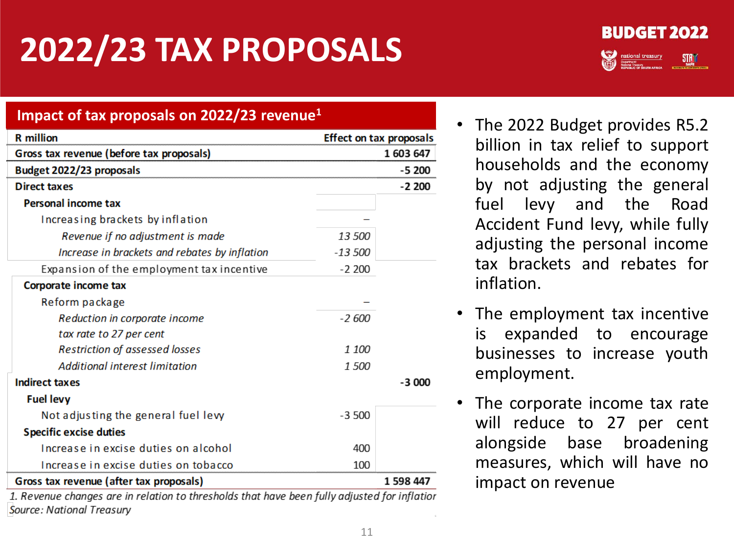# **2022/23 TAX PROPOSALS**



#### **Impact of tax proposals on 2022/23 revenue1**

| <b>R</b> million                                                                             |           | <b>Effect on tax proposals</b> |
|----------------------------------------------------------------------------------------------|-----------|--------------------------------|
| Gross tax revenue (before tax proposals)                                                     |           | 1603647                        |
| Budget 2022/23 proposals                                                                     |           | $-5200$                        |
| <b>Direct taxes</b>                                                                          |           | $-2200$                        |
| <b>Personal income tax</b>                                                                   |           |                                |
| Increasing brackets by inflation                                                             |           |                                |
| Revenue if no adjustment is made                                                             | 13 500    |                                |
| Increase in brackets and rebates by inflation                                                | $-13,500$ |                                |
| Expansion of the employment tax incentive                                                    | $-2200$   |                                |
| Corporate income tax                                                                         |           |                                |
| Reform package                                                                               |           |                                |
| Reduction in corporate income                                                                | -2 600    |                                |
| tax rate to 27 per cent                                                                      |           |                                |
| <b>Restriction of assessed losses</b>                                                        | 1 100     |                                |
| Additional interest limitation                                                               | 1 500     |                                |
| <b>Indirect taxes</b>                                                                        |           | $-3000$                        |
| <b>Fuel levy</b>                                                                             |           |                                |
| Not adjusting the general fuel levy                                                          | $-3,500$  |                                |
| <b>Specific excise duties</b>                                                                |           |                                |
| Increase in excise duties on alcohol                                                         | 400       |                                |
| Increase in excise duties on tobacco                                                         | 100       |                                |
| Gross tax revenue (after tax proposals)                                                      |           | 1 598 447                      |
| 1. Douguus abanaas ars in roletisn to throsholds that haus hoon fully adjusted for inflation |           |                                |

1. Revenue changes are in relation to thresholds that have been fully adjusted for inflatior Source: National Treasury

- The 2022 Budget provides R5.2 billion in tax relief to support households and the economy by not adjusting the general fuel levy and the Road Accident Fund levy, while fully adjusting the personal income tax brackets and rebates for inflation.
- The employment tax incentive is expanded to encourage businesses to increase youth employment.
- The corporate income tax rate will reduce to 27 per cent alongside base broadening measures, which will have no impact on revenue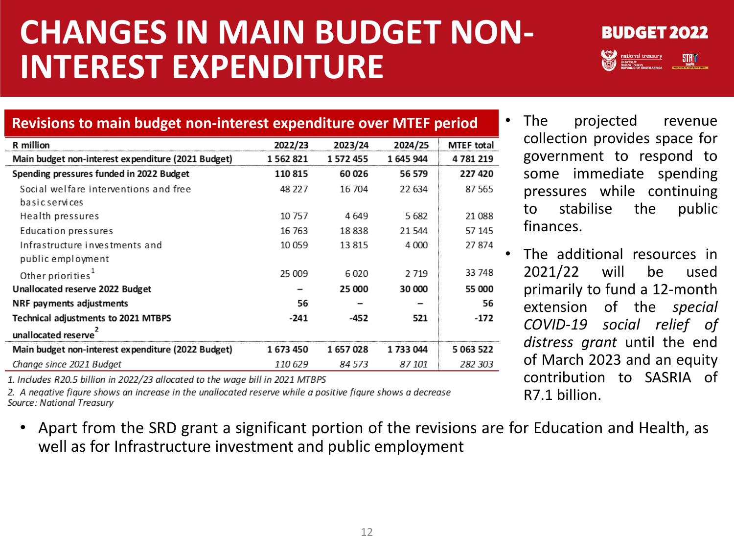## **CHANGES IN MAIN BUDGET NON-INTEREST EXPENDITURE**



**Revisions to main budget non-interest expenditure over MTEF period** 2022/23 2023/24 2024/25 R million **MTEF total** Main budget non-interest expenditure (2021 Budget) 1562821 1572455 1645944 4781219 Spending pressures funded in 2022 Budget 110815 60 026 56 579 227 420 Social welfare interventions and free 48 227 16 704 22 634 87 565 **basic services** Health pressures 10757 4 649 5682 21 088 Education pressures 21 544 57 145 16 763 18838 Infrastructure investments and 10 0 59 13815 4 0 0 0 27874 public employment 33 748 Other priorities<sup>1</sup> 25 009 6020 2 7 1 9 Unallocated reserve 2022 Budget 25 000 30 000 55 000  $\qquad \qquad -$ NRF payments adjustments 56 56 **Technical adjustments to 2021 MTBPS**  $-241$  $-452$ 521  $-172$ unallocated reserve<sup>2</sup> 5 063 522 Main budget non-interest expenditure (2022 Budget) 1733044 1673450 1657028 Change since 2021 Budget 84 573 87 101 282 303 110 629

• The projected revenue collection provides space for government to respond to some immediate spending pressures while continuing to stabilise the public finances.

• The additional resources in 2021/22 will be used primarily to fund a 12-month extension of the *special COVID-19 social relief of distress grant* until the end of March 2023 and an equity contribution to SASRIA of R7.1 billion.

1. Includes R20.5 billion in 2022/23 allocated to the wage bill in 2021 MTBPS

2. A negative figure shows an increase in the unallocated reserve while a positive figure shows a decrease Source: National Treasury

• Apart from the SRD grant a significant portion of the revisions are for Education and Health, as well as for Infrastructure investment and public employment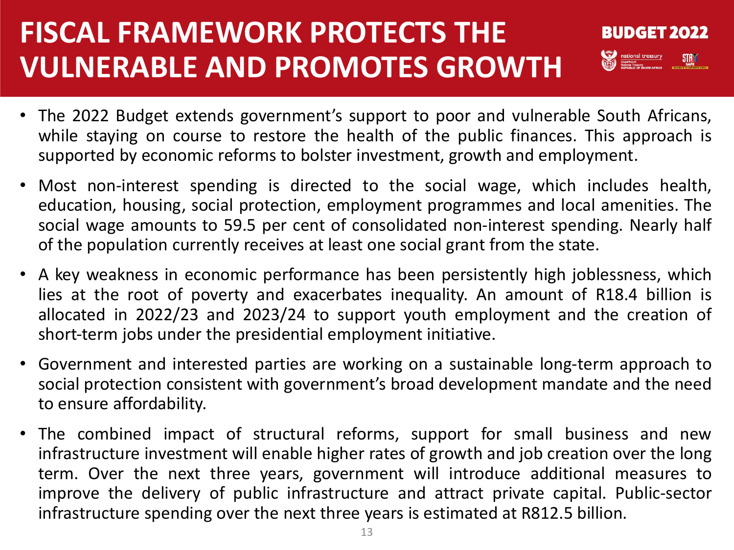### **FISCAL FRAMEWORK PROTECTS THE VULNERABLE AND PROMOTES GROWTH**

- **BUDGET 2022 AND DESCRIPTION OF A PARTICIPATE OF A PARTICIPATE OF A PARTICIPATE OF A PARTICIPATE OF A PARTICIPATE OF A PARTICIPATE OF A PARTICIPATE OF A PARTICIPATE OF A PARTICIPATE OF A PARTICIPATE OF A PARTICIPATE OF A PARTICIPATE O**
- The 2022 Budget extends government's support to poor and vulnerable South Africans, while staying on course to restore the health of the public finances. This approach is supported by economic reforms to bolster investment, growth and employment.
- Most non‐interest spending is directed to the social wage, which includes health, education, housing, social protection, employment programmes and local amenities. The social wage amounts to 59.5 per cent of consolidated non-interest spending. Nearly half of the population currently receives at least one social grant from the state.
- A key weakness in economic performance has been persistently high joblessness, which lies at the root of poverty and exacerbates inequality. An amount of R18.4 billion is allocated in 2022/23 and 2023/24 to support youth employment and the creation of short-term jobs under the presidential employment initiative.
- Government and interested parties are working on a sustainable long‐term approach to social protection consistent with government's broad development mandate and the need to ensure affordability.
- The combined impact of structural reforms, support for small business and new infrastructure investment will enable higher rates of growth and job creation over the long term. Over the next three years, government will introduce additional measures to improve the delivery of public infrastructure and attract private capital. Public‐sector infrastructure spending over the next three years is estimated at R812.5 billion.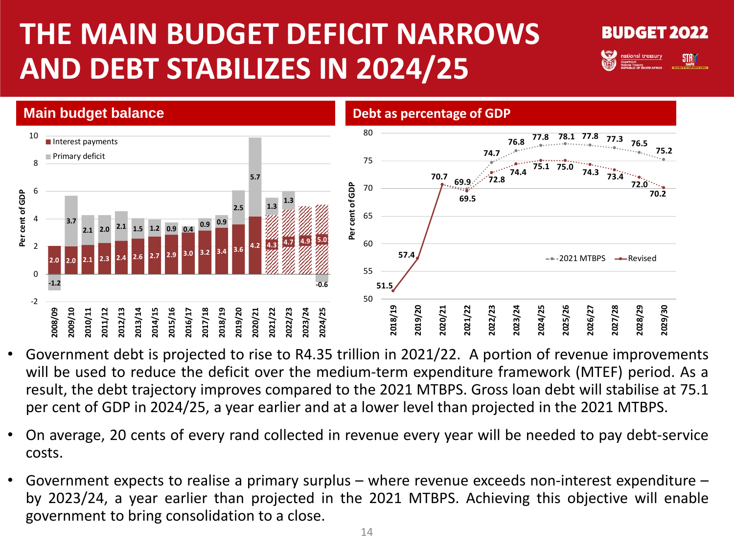### **THE MAIN BUDGET DEFICIT NARROWS AND DEBT STABILIZES IN 2024/25**





- Government debt is projected to rise to R4.35 trillion in 2021/22. A portion of revenue improvements will be used to reduce the deficit over the medium-term expenditure framework (MTEF) period. As a result, the debt trajectory improves compared to the 2021 MTBPS. Gross loan debt will stabilise at 75.1 per cent of GDP in 2024/25, a year earlier and at a lower level than projected in the 2021 MTBPS.
- On average, 20 cents of every rand collected in revenue every year will be needed to pay debt-service costs.
- Government expects to realise a primary surplus where revenue exceeds non-interest expenditure by 2023/24, a year earlier than projected in the 2021 MTBPS. Achieving this objective will enable government to bring consolidation to a close.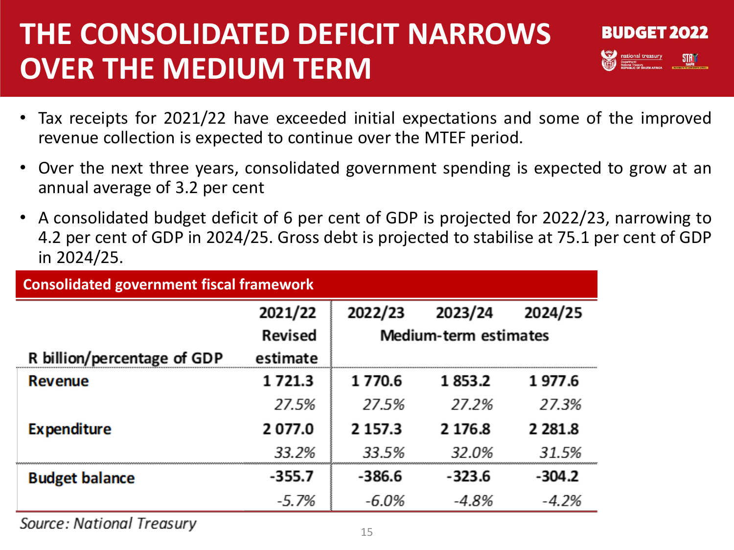#### **THE CONSOLIDATED DEFICIT NARROWS OVER THE MEDIUM TERM**



- Tax receipts for 2021/22 have exceeded initial expectations and some of the improved revenue collection is expected to continue over the MTEF period.
- Over the next three years, consolidated government spending is expected to grow at an annual average of 3.2 per cent
- A consolidated budget deficit of 6 per cent of GDP is projected for 2022/23, narrowing to 4.2 per cent of GDP in 2024/25. Gross debt is projected to stabilise at 75.1 per cent of GDP in 2024/25.

| <b>Consolidated government fiscal framework</b> |                |                                                               |          |            |  |  |
|-------------------------------------------------|----------------|---------------------------------------------------------------|----------|------------|--|--|
|                                                 | 2021/22        | 2022/23<br>2023/24<br>2024/25<br><b>Medium-term estimates</b> |          |            |  |  |
|                                                 | <b>Revised</b> |                                                               |          |            |  |  |
| R billion/percentage of GDP                     | estimate       |                                                               |          |            |  |  |
| <b>Revenue</b>                                  | 1 7 2 1 . 3    | 1770.6                                                        | 1853.2   | 1977.6     |  |  |
|                                                 | 27.5%          | 27.5%                                                         | 27.2%    | 27.3%      |  |  |
| <b>Expenditure</b>                              | 2077.0         | 2 1 5 7 . 3                                                   | 2 176.8  | 2 2 8 1 .8 |  |  |
|                                                 | 33.2%          | 33.5%                                                         | 32.0%    | 31.5%      |  |  |
| <b>Budget balance</b>                           | $-355.7$       | $-386.6$                                                      | $-323.6$ | $-304.2$   |  |  |
|                                                 | $-5.7\%$       | -6.0%                                                         | -4.8%    | $-4.2%$    |  |  |

Source: National Treasury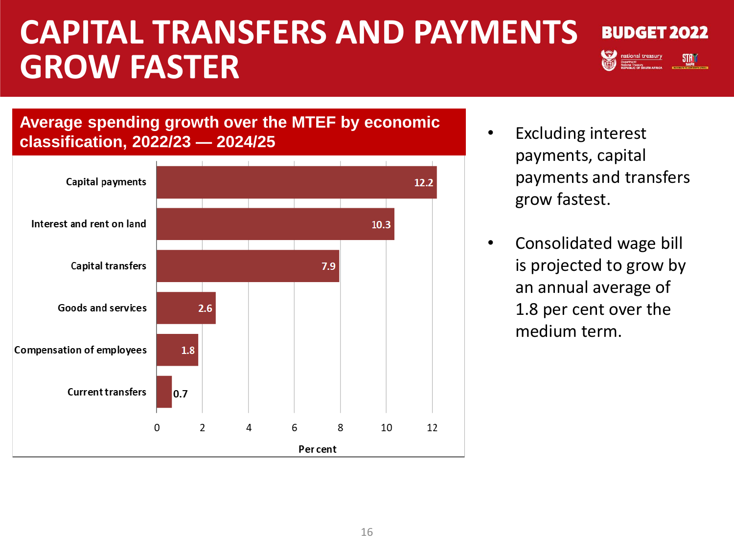### **CAPITAL TRANSFERS AND PAYMENTS GROW FASTER**



**THE CONTRACT OF SOUTH AFRICA** 

**Average spending growth over the MTEF by economic classification, 2022/23 — 2024/25**



- Excluding interest payments, capital payments and transfers grow fastest.
- Consolidated wage bill is projected to grow by an annual average of 1.8 per cent over the medium term.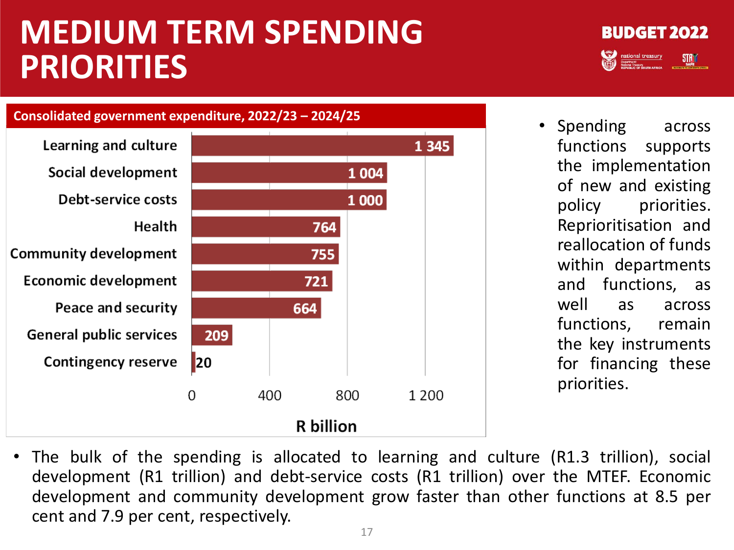## **MEDIUM TERM SPENDING PRIORITIES**

**Consolidated government expenditure, 2022/23 – 2024/25** Learning and culture 1 3 4 5 Social development 1 0 0 4 Debt-service costs 1 0 0 0 Health 764 **Community development** 755 **Economic development** 721 Peace and security 664 **General public services** 209 **Contingency reserve** 20  $\Omega$ 400 800 1 2 0 0 **R** billion



• The bulk of the spending is allocated to learning and culture (R1.3 trillion), social development (R1 trillion) and debt-service costs (R1 trillion) over the MTEF. Economic development and community development grow faster than other functions at 8.5 per cent and 7.9 per cent, respectively.

#### **BUDGET 2022 THE CONTRACT OF SOUTH AFRICA**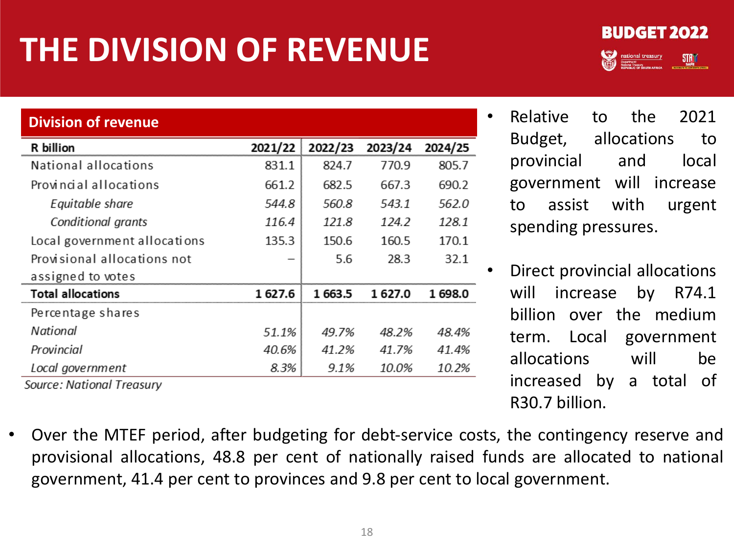# **THE DIVISION OF REVENUE**



| <b>Division of revenue</b>   |              |         |         |         |
|------------------------------|--------------|---------|---------|---------|
| R billion                    | 2021/22<br>š | 2022/23 | 2023/24 | 2024/25 |
| National allocations         | 831.1        | 824.7   | 770.9   | 805.7   |
| Provincial allocations       | 661.2        | 682.5   | 667.3   | 690.2   |
| Equitable share              | 544.8        | 560.8   | 543.1   | 562.0   |
| <b>Conditional grants</b>    | 116.4        | 121.8   | 124.2   | 128.1   |
| Local government allocations | 135.3        | 150.6   | 160.5   | 170.1   |
| Provisional allocations not  |              | 5.6     | 28.3    | 32.1    |
| assigned to votes            |              |         |         |         |
| <b>Total allocations</b>     | 627.6        | 1 663.5 |         | 698.0   |
| Percentage shares            |              |         |         |         |
| National                     | 51.1%        | 49.7%   | 48.2%   | 48.4%   |
| Provincial                   | 40.6%        | 41.2%   | 41.7%   | 41.4%   |
| Local government             | 8.3%         | 9.1%    | 10.0%   | 10.2%   |
| Source: National Treasury    |              |         |         |         |

- Relative to the 2021 Budget, allocations to provincial and local government will increase to assist with urgent spending pressures.
- Direct provincial allocations will increase by R74.1 billion over the medium term. Local government allocations will be increased by a total of R30.7 billion.
- Over the MTEF period, after budgeting for debt‐service costs, the contingency reserve and provisional allocations, 48.8 per cent of nationally raised funds are allocated to national government, 41.4 per cent to provinces and 9.8 per cent to local government.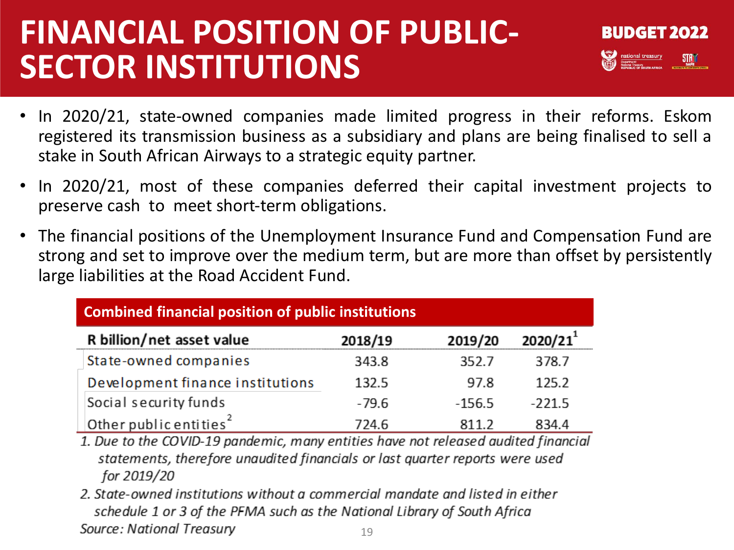## **FINANCIAL POSITION OF PUBLIC-SECTOR INSTITUTIONS**



- In 2020/21, state-owned companies made limited progress in their reforms. Eskom registered its transmission business as a subsidiary and plans are being finalised to sell a stake in South African Airways to a strategic equity partner.
- In 2020/21, most of these companies deferred their capital investment projects to preserve cash to meet short‐term obligations.
- The financial positions of the Unemployment Insurance Fund and Compensation Fund are strong and set to improve over the medium term, but are more than offset by persistently large liabilities at the Road Accident Fund.

| <b>Combined financial position of public institutions</b> |         |          |          |  |  |
|-----------------------------------------------------------|---------|----------|----------|--|--|
| R billion/net asset value                                 | 2018/19 | 2019/20  | 2020/21  |  |  |
| State-owned companies                                     | 343.8   | 352.7    | 378.7    |  |  |
| Development finance institutions                          | 132.5   | 97.8     | 125.2    |  |  |
| Social security funds                                     | $-79.6$ | $-156.5$ | $-221.5$ |  |  |
| Other public entities <sup>2</sup>                        | 724.6   | 8112     | 834.4    |  |  |

1. Due to the COVID-19 pandemic, many entities have not released audited financial statements, therefore unaudited financials or last quarter reports were used for 2019/20

2. State-owned institutions without a commercial mandate and listed in either schedule 1 or 3 of the PFMA such as the National Library of South Africa Source: National Treasury 19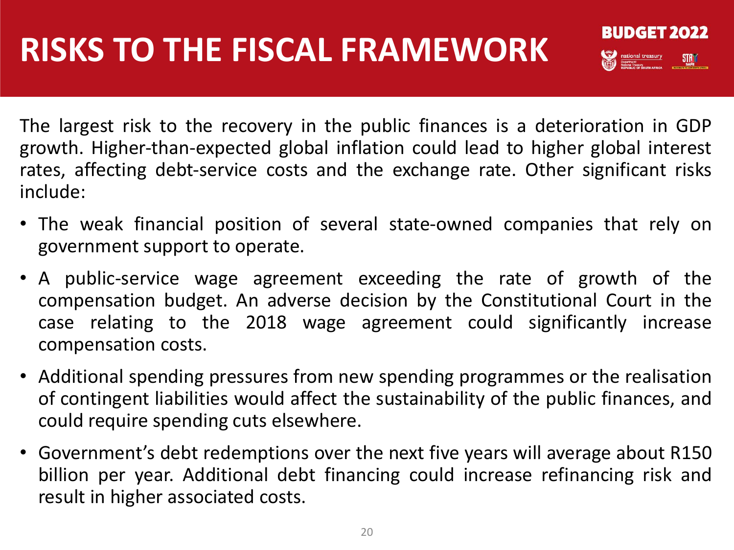**BUDGET 2022 Example 3** President treasury

The largest risk to the recovery in the public finances is a deterioration in GDP growth. Higher‐than‐expected global inflation could lead to higher global interest rates, affecting debt-service costs and the exchange rate. Other significant risks include:

- The weak financial position of several state‐owned companies that rely on government support to operate.
- A public-service wage agreement exceeding the rate of growth of the compensation budget. An adverse decision by the Constitutional Court in the case relating to the 2018 wage agreement could significantly increase compensation costs.
- Additional spending pressures from new spending programmes or the realisation of contingent liabilities would affect the sustainability of the public finances, and could require spending cuts elsewhere.
- Government's debt redemptions over the next five years will average about R150 billion per year. Additional debt financing could increase refinancing risk and result in higher associated costs.